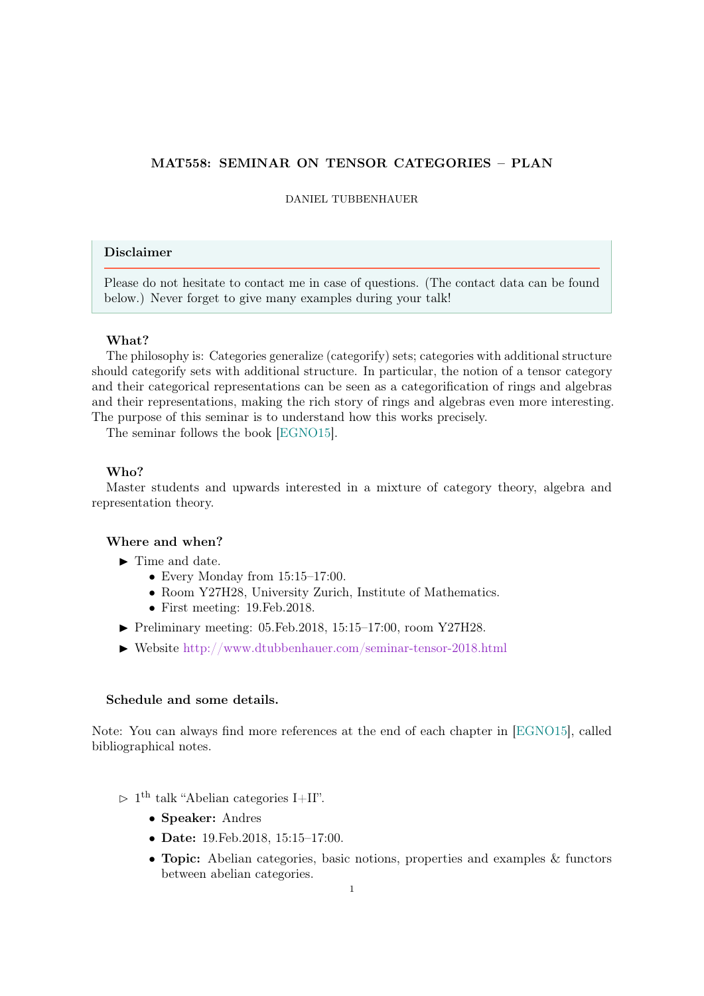# MAT558: SEMINAR ON TENSOR CATEGORIES – PLAN

### DANIEL TUBBENHAUER

# Disclaimer

Please do not hesitate to contact me in case of questions. (The contact data can be found below.) Never forget to give many examples during your talk!

# What?

The philosophy is: Categories generalize (categorify) sets; categories with additional structure should categorify sets with additional structure. In particular, the notion of a tensor category and their categorical representations can be seen as a categorification of rings and algebras and their representations, making the rich story of rings and algebras even more interesting. The purpose of this seminar is to understand how this works precisely.

The seminar follows the book [\[EGNO15\]](#page-5-0).

## Who?

Master students and upwards interested in a mixture of category theory, algebra and representation theory.

#### Where and when?

- $\blacktriangleright$  Time and date.
	- Every Monday from 15:15-17:00.
	- Room Y27H28, University Zurich, Institute of Mathematics.
	- First meeting: 19.Feb.2018.
- $\blacktriangleright$  Preliminary meeting: 05. Feb. 2018, 15:15–17:00, room Y27H28.
- ▶ Website <http://www.dtubbenhauer.com/seminar-tensor-2018.html>

### Schedule and some details.

Note: You can always find more references at the end of each chapter in [\[EGNO15\]](#page-5-0), called bibliographical notes.

- $> 1<sup>th</sup>$  talk "Abelian categories I+II".
	- Speaker: Andres
	- Date: 19.Feb.2018, 15:15–17:00.
	- Topic: Abelian categories, basic notions, properties and examples & functors between abelian categories.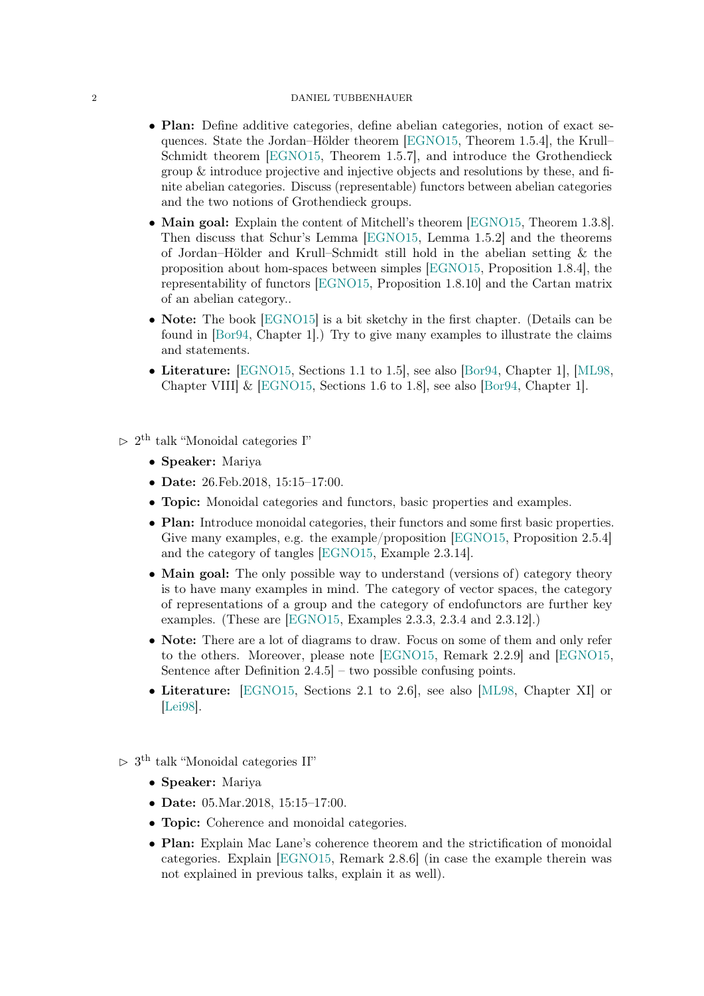# 2 DANIEL TUBBENHAUER

- Plan: Define additive categories, define abelian categories, notion of exact sequences. State the Jordan–Hölder theorem [\[EGNO15,](#page-5-0) Theorem 1.5.4], the Krull– Schmidt theorem [\[EGNO15,](#page-5-0) Theorem 1.5.7], and introduce the Grothendieck group & introduce projective and injective objects and resolutions by these, and finite abelian categories. Discuss (representable) functors between abelian categories and the two notions of Grothendieck groups.
- Main goal: Explain the content of Mitchell's theorem [\[EGNO15,](#page-5-0) Theorem 1.3.8]. Then discuss that Schur's Lemma [\[EGNO15,](#page-5-0) Lemma 1.5.2] and the theorems of Jordan–Hölder and Krull–Schmidt still hold in the abelian setting & the proposition about hom-spaces between simples [\[EGNO15,](#page-5-0) Proposition 1.8.4], the representability of functors [\[EGNO15,](#page-5-0) Proposition 1.8.10] and the Cartan matrix of an abelian category..
- Note: The book [\[EGNO15\]](#page-5-0) is a bit sketchy in the first chapter. (Details can be found in [\[Bor94,](#page-5-1) Chapter 1].) Try to give many examples to illustrate the claims and statements.
- Literature: [\[EGNO15,](#page-5-0) Sections 1.1 to 1.5], see also [\[Bor94,](#page-5-1) Chapter 1], [\[ML98,](#page-6-0) Chapter VIII] & [\[EGNO15,](#page-5-0) Sections 1.6 to 1.8], see also [\[Bor94,](#page-5-1) Chapter 1].
- $> 2^{\text{th}}$  talk "Monoidal categories I"
	- Speaker: Mariya
	- Date: 26.Feb.2018, 15:15–17:00.
	- Topic: Monoidal categories and functors, basic properties and examples.
	- Plan: Introduce monoidal categories, their functors and some first basic properties. Give many examples, e.g. the example/proposition [\[EGNO15,](#page-5-0) Proposition 2.5.4] and the category of tangles [\[EGNO15,](#page-5-0) Example 2.3.14].
	- Main goal: The only possible way to understand (versions of) category theory is to have many examples in mind. The category of vector spaces, the category of representations of a group and the category of endofunctors are further key examples. (These are [\[EGNO15,](#page-5-0) Examples 2.3.3, 2.3.4 and 2.3.12].)
	- Note: There are a lot of diagrams to draw. Focus on some of them and only refer to the others. Moreover, please note [\[EGNO15,](#page-5-0) Remark 2.2.9] and [\[EGNO15,](#page-5-0) Sentence after Definition 2.4.5] – two possible confusing points.
	- Literature: [\[EGNO15,](#page-5-0) Sections 2.1 to 2.6], see also [\[ML98,](#page-6-0) Chapter XI] or [\[Lei98\]](#page-5-2).
- $> 3<sup>th</sup>$  talk "Monoidal categories II"
	- Speaker: Mariya
	- Date: 05. Mar. 2018, 15:15-17:00.
	- Topic: Coherence and monoidal categories.
	- Plan: Explain Mac Lane's coherence theorem and the strictification of monoidal categories. Explain [\[EGNO15,](#page-5-0) Remark 2.8.6] (in case the example therein was not explained in previous talks, explain it as well).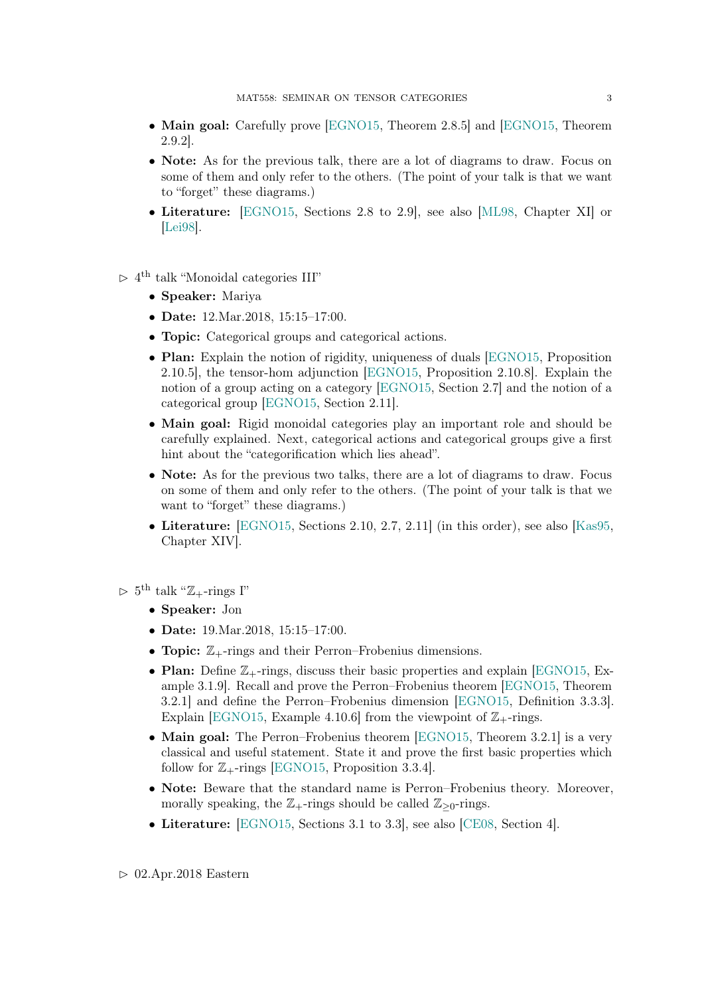- Main goal: Carefully prove [\[EGNO15,](#page-5-0) Theorem 2.8.5] and [EGNO15, Theorem 2.9.2].
- Note: As for the previous talk, there are a lot of diagrams to draw. Focus on some of them and only refer to the others. (The point of your talk is that we want to "forget" these diagrams.)
- Literature: [\[EGNO15,](#page-5-0) Sections 2.8 to 2.9], see also [\[ML98,](#page-6-0) Chapter XI] or [\[Lei98\]](#page-5-2).
- $> 4^{\text{th}}$  talk "Monoidal categories III"
	- Speaker: Mariya
	- Date: 12.Mar.2018, 15:15–17:00.
	- Topic: Categorical groups and categorical actions.
	- Plan: Explain the notion of rigidity, uniqueness of duals [\[EGNO15,](#page-5-0) Proposition 2.10.5], the tensor-hom adjunction [\[EGNO15,](#page-5-0) Proposition 2.10.8]. Explain the notion of a group acting on a category [\[EGNO15,](#page-5-0) Section 2.7] and the notion of a categorical group [\[EGNO15,](#page-5-0) Section 2.11].
	- Main goal: Rigid monoidal categories play an important role and should be carefully explained. Next, categorical actions and categorical groups give a first hint about the "categorification which lies ahead".
	- Note: As for the previous two talks, there are a lot of diagrams to draw. Focus on some of them and only refer to the others. (The point of your talk is that we want to "forget" these diagrams.)
	- Literature:  $\text{[EGNO15, Sections 2.10, 2.7, 2.11]}$  $\text{[EGNO15, Sections 2.10, 2.7, 2.11]}$  $\text{[EGNO15, Sections 2.10, 2.7, 2.11]}$  (in this order), see also [\[Kas95,](#page-5-3) Chapter XIV].

 $\vartriangleright$  5<sup>th</sup> talk "Z<sub>+</sub>-rings I"

- Speaker: Jon
- Date: 19. Mar. 2018, 15:15-17:00.
- Topic:  $\mathbb{Z}_{+}$ -rings and their Perron–Frobenius dimensions.
- Plan: Define  $\mathbb{Z}_{+}$ -rings, discuss their basic properties and explain [\[EGNO15,](#page-5-0) Example 3.1.9]. Recall and prove the Perron–Frobenius theorem [\[EGNO15,](#page-5-0) Theorem 3.2.1] and define the Perron–Frobenius dimension [\[EGNO15,](#page-5-0) Definition 3.3.3]. Explain [\[EGNO15,](#page-5-0) Example 4.10.6] from the viewpoint of  $\mathbb{Z}_{+}$ -rings.
- Main goal: The Perron–Frobenius theorem [\[EGNO15,](#page-5-0) Theorem 3.2.1] is a very classical and useful statement. State it and prove the first basic properties which follow for  $\mathbb{Z}_{+}$ -rings [\[EGNO15,](#page-5-0) Proposition 3.3.4].
- Note: Beware that the standard name is Perron–Frobenius theory. Moreover, morally speaking, the  $\mathbb{Z}_{+}$ -rings should be called  $\mathbb{Z}_{\geq 0}$ -rings.
- Literature: [\[EGNO15,](#page-5-0) Sections 3.1 to 3.3], see also [\[CE08,](#page-5-4) Section 4].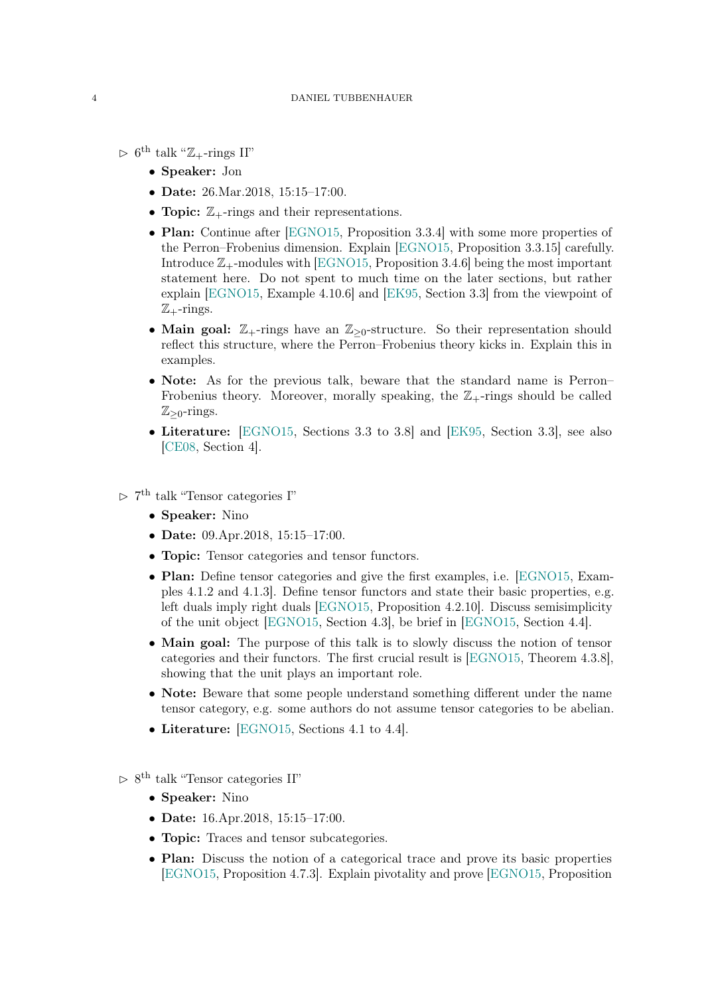- $\vartriangleright$  6<sup>th</sup> talk "Z<sub>+</sub>-rings II"
	- Speaker: Jon
	- Date: 26.Mar.2018, 15:15-17:00.
	- Topic:  $\mathbb{Z}_+$ -rings and their representations.
	- Plan: Continue after [\[EGNO15,](#page-5-0) Proposition 3.3.4] with some more properties of the Perron–Frobenius dimension. Explain [\[EGNO15,](#page-5-0) Proposition 3.3.15] carefully. Introduce  $\mathbb{Z}_+$ -modules with [\[EGNO15,](#page-5-0) Proposition 3.4.6] being the most important statement here. Do not spent to much time on the later sections, but rather explain [\[EGNO15,](#page-5-0) Example 4.10.6] and [\[EK95,](#page-5-5) Section 3.3] from the viewpoint of  $\mathbb{Z}_{+}$ -rings.
	- Main goal:  $\mathbb{Z}_{+}$ -rings have an  $\mathbb{Z}_{\geq 0}$ -structure. So their representation should reflect this structure, where the Perron–Frobenius theory kicks in. Explain this in examples.
	- Note: As for the previous talk, beware that the standard name is Perron– Frobenius theory. Moreover, morally speaking, the  $\mathbb{Z}_+$ -rings should be called  $\mathbb{Z}_{\geq 0}$ -rings.
	- Literature: [\[EGNO15,](#page-5-0) Sections 3.3 to 3.8] and [\[EK95,](#page-5-5) Section 3.3], see also [\[CE08,](#page-5-4) Section 4].
- $\triangleright$  7<sup>th</sup> talk "Tensor categories I"
	- Speaker: Nino
	- Date: 09.Apr.2018, 15:15–17:00.
	- Topic: Tensor categories and tensor functors.
	- Plan: Define tensor categories and give the first examples, i.e. [\[EGNO15,](#page-5-0) Examples 4.1.2 and 4.1.3]. Define tensor functors and state their basic properties, e.g. left duals imply right duals [\[EGNO15,](#page-5-0) Proposition 4.2.10]. Discuss semisimplicity of the unit object [\[EGNO15,](#page-5-0) Section 4.3], be brief in [\[EGNO15,](#page-5-0) Section 4.4].
	- Main goal: The purpose of this talk is to slowly discuss the notion of tensor categories and their functors. The first crucial result is [\[EGNO15,](#page-5-0) Theorem 4.3.8], showing that the unit plays an important role.
	- Note: Beware that some people understand something different under the name tensor category, e.g. some authors do not assume tensor categories to be abelian.
	- Literature: [\[EGNO15,](#page-5-0) Sections 4.1 to 4.4].
- $\triangleright$  8<sup>th</sup> talk "Tensor categories II"
	- Speaker: Nino
	- Date: 16.Apr.2018, 15:15-17:00.
	- Topic: Traces and tensor subcategories.
	- Plan: Discuss the notion of a categorical trace and prove its basic properties [\[EGNO15,](#page-5-0) Proposition 4.7.3]. Explain pivotality and prove [\[EGNO15,](#page-5-0) Proposition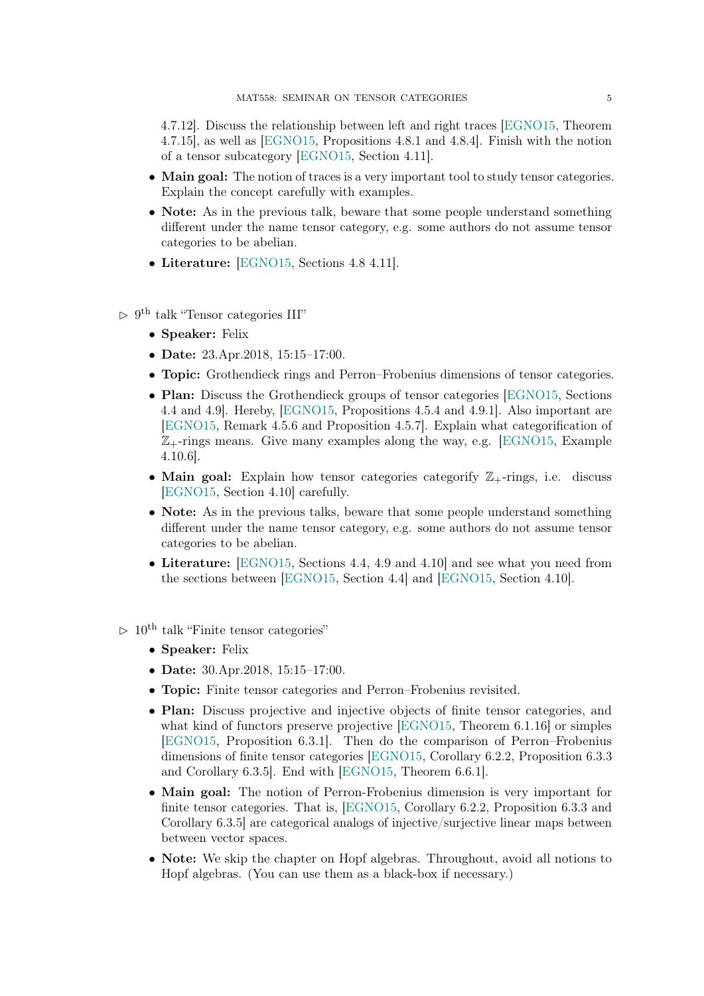4.7.12]. Discuss the relationship between left and right traces [\[EGNO15,](#page-5-0) Theorem 4.7.15], as well as [\[EGNO15,](#page-5-0) Propositions 4.8.1 and 4.8.4]. Finish with the notion of a tensor subcategory [\[EGNO15,](#page-5-0) Section 4.11].

- Main goal: The notion of traces is a very important tool to study tensor categories. Explain the concept carefully with examples.
- Note: As in the previous talk, beware that some people understand something different under the name tensor category, e.g. some authors do not assume tensor categories to be abelian.
- Literature: [\[EGNO15,](#page-5-0) Sections 4.8 4.11].
- $\triangleright$  9<sup>th</sup> talk "Tensor categories III"
	- Speaker: Felix
	- Date: 23.Apr.2018, 15:15-17:00.
	- Topic: Grothendieck rings and Perron–Frobenius dimensions of tensor categories.
	- Plan: Discuss the Grothendieck groups of tensor categories [\[EGNO15,](#page-5-0) Sections] 4.4 and 4.9]. Hereby, [\[EGNO15,](#page-5-0) Propositions 4.5.4 and 4.9.1]. Also important are [\[EGNO15,](#page-5-0) Remark 4.5.6 and Proposition 4.5.7]. Explain what categorification of  $\mathbb{Z}_+$ -rings means. Give many examples along the way, e.g. [\[EGNO15,](#page-5-0) Example 4.10.6].
	- Main goal: Explain how tensor categories categorify  $\mathbb{Z}_+$ -rings, i.e. discuss [\[EGNO15,](#page-5-0) Section 4.10] carefully.
	- Note: As in the previous talks, beware that some people understand something different under the name tensor category, e.g. some authors do not assume tensor categories to be abelian.
	- Literature: [\[EGNO15,](#page-5-0) Sections 4.4, 4.9 and 4.10] and see what you need from the sections between [\[EGNO15,](#page-5-0) Section 4.4] and [\[EGNO15,](#page-5-0) Section 4.10].
- $> 10^{th}$  talk "Finite tensor categories"
	- Speaker: Felix
	- Date: 30.Apr.2018, 15:15-17:00.
	- Topic: Finite tensor categories and Perron–Frobenius revisited.
	- Plan: Discuss projective and injective objects of finite tensor categories, and what kind of functors preserve projective [\[EGNO15,](#page-5-0) Theorem 6.1.16] or simples [\[EGNO15,](#page-5-0) Proposition 6.3.1]. Then do the comparison of Perron–Frobenius dimensions of finite tensor categories [\[EGNO15,](#page-5-0) Corollary 6.2.2, Proposition 6.3.3 and Corollary 6.3.5]. End with [\[EGNO15,](#page-5-0) Theorem 6.6.1].
	- Main goal: The notion of Perron-Frobenius dimension is very important for finite tensor categories. That is, [\[EGNO15,](#page-5-0) Corollary 6.2.2, Proposition 6.3.3 and Corollary 6.3.5] are categorical analogs of injective/surjective linear maps between between vector spaces.
	- Note: We skip the chapter on Hopf algebras. Throughout, avoid all notions to Hopf algebras. (You can use them as a black-box if necessary.)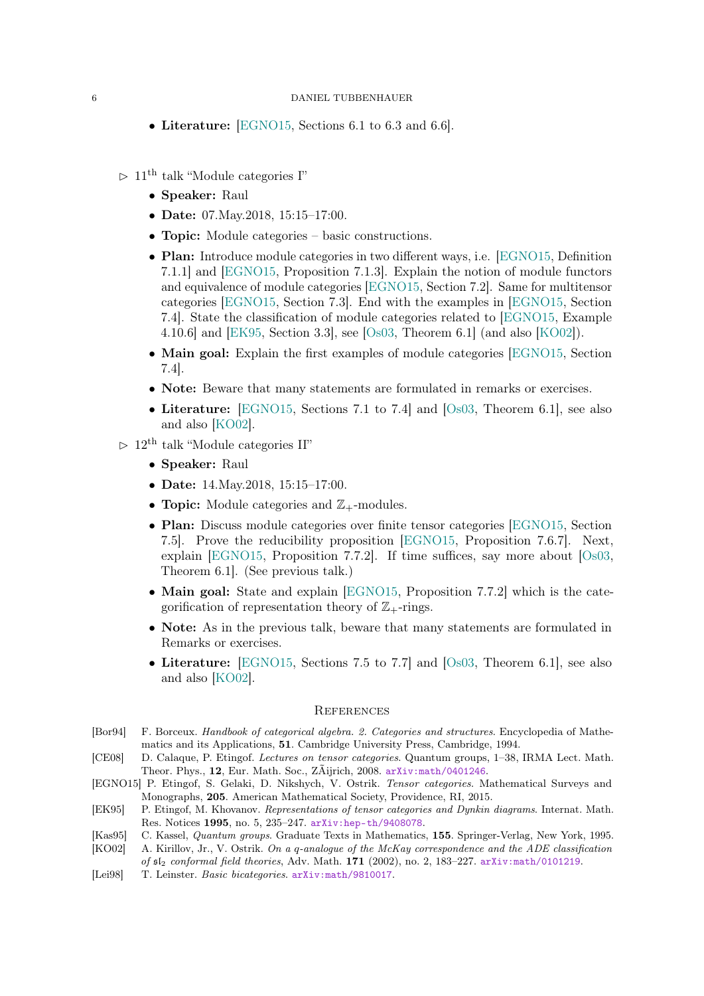- Literature: [\[EGNO15,](#page-5-0) Sections 6.1 to 6.3 and 6.6].
- $> 11^{\text{th}}$  talk "Module categories I"
	- Speaker: Raul
	- Date: 07. May. 2018, 15:15-17:00.
	- **Topic:** Module categories basic constructions.
	- Plan: Introduce module categories in two different ways, i.e. [\[EGNO15,](#page-5-0) Definition 7.1.1] and [\[EGNO15,](#page-5-0) Proposition 7.1.3]. Explain the notion of module functors and equivalence of module categories [\[EGNO15,](#page-5-0) Section 7.2]. Same for multitensor categories [\[EGNO15,](#page-5-0) Section 7.3]. End with the examples in [\[EGNO15,](#page-5-0) Section 7.4]. State the classification of module categories related to [\[EGNO15,](#page-5-0) Example 4.10.6] and [\[EK95,](#page-5-5) Section 3.3], see [\[Os03,](#page-6-1) Theorem 6.1] (and also [\[KO02\]](#page-5-6)).
	- Main goal: Explain the first examples of module categories [\[EGNO15,](#page-5-0) Section 7.4].
	- Note: Beware that many statements are formulated in remarks or exercises.
	- Literature: [\[EGNO15,](#page-5-0) Sections 7.1 to 7.4] and [\[Os03,](#page-6-1) Theorem 6.1], see also and also [\[KO02\]](#page-5-6).
- $> 12$ <sup>th</sup> talk "Module categories II"
	- Speaker: Raul
	- Date: 14. May. 2018, 15:15-17:00.
	- Topic: Module categories and  $\mathbb{Z}_+$ -modules.
	- Plan: Discuss module categories over finite tensor categories [\[EGNO15,](#page-5-0) Section 7.5]. Prove the reducibility proposition [\[EGNO15,](#page-5-0) Proposition 7.6.7]. Next, explain [\[EGNO15,](#page-5-0) Proposition 7.7.2]. If time suffices, say more about  $[Os03,$ Theorem 6.1]. (See previous talk.)
	- Main goal: State and explain [\[EGNO15,](#page-5-0) Proposition 7.7.2] which is the categorification of representation theory of  $\mathbb{Z}_{+}$ -rings.
	- Note: As in the previous talk, beware that many statements are formulated in Remarks or exercises.
	- Literature: [\[EGNO15,](#page-5-0) Sections 7.5 to 7.7] and [\[Os03,](#page-6-1) Theorem 6.1], see also and also [\[KO02\]](#page-5-6).

### **REFERENCES**

- <span id="page-5-1"></span>[Bor94] F. Borceux. Handbook of categorical algebra. 2. Categories and structures. Encyclopedia of Mathematics and its Applications, 51. Cambridge University Press, Cambridge, 1994.
- <span id="page-5-4"></span>[CE08] D. Calaque, P. Etingof. Lectures on tensor categories. Quantum groups, 1–38, IRMA Lect. Math. Theor. Phys., 12, Eur. Math. Soc., ZÃijrich, 2008. [arXiv:math/0401246](https://arxiv.org/abs/math/0401246).
- <span id="page-5-0"></span>[EGNO15] P. Etingof, S. Gelaki, D. Nikshych, V. Ostrik. Tensor categories. Mathematical Surveys and Monographs, 205. American Mathematical Society, Providence, RI, 2015.
- <span id="page-5-5"></span>[EK95] P. Etingof, M. Khovanov. Representations of tensor categories and Dynkin diagrams. Internat. Math. Res. Notices 1995, no. 5, 235–247. [arXiv:hep-th/9408078](https://arxiv.org/abs/hep-th/9408078).
- <span id="page-5-3"></span>[Kas95] C. Kassel, Quantum groups. Graduate Texts in Mathematics, 155. Springer-Verlag, New York, 1995.
- <span id="page-5-6"></span>[KO02] A. Kirillov, Jr., V. Ostrik. On a q-analogue of the McKay correspondence and the ADE classification of  $sI_2$  conformal field theories, Adv. Math. 171 (2002), no. 2, 183-227. [arXiv:math/0101219](https://arxiv.org/abs/math/0101219).
- <span id="page-5-2"></span>[Lei98] T. Leinster. Basic bicategories. [arXiv:math/9810017](https://arxiv.org/abs/math/9810017).